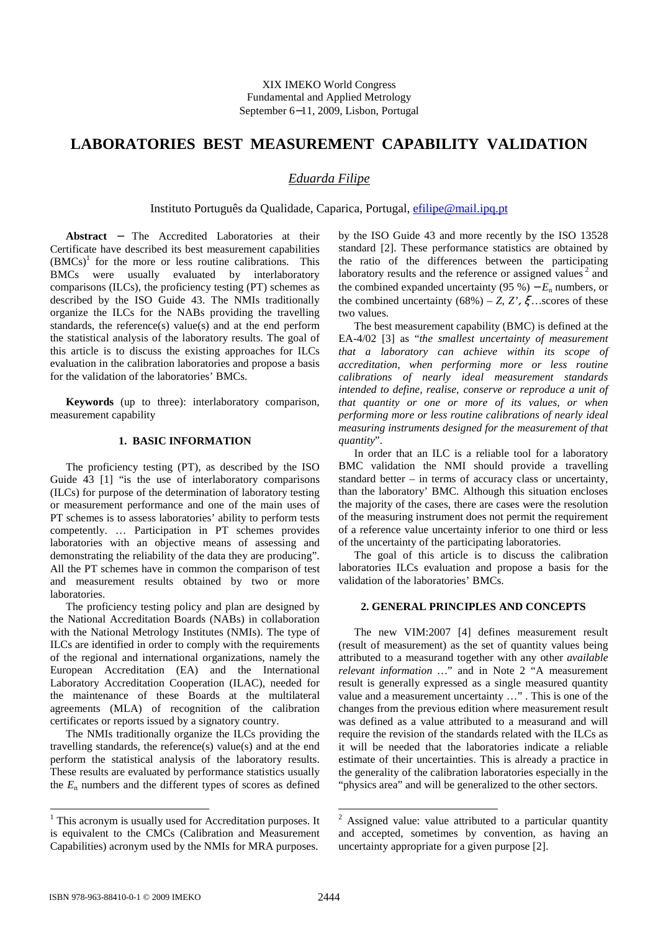# **LABORATORIES BEST MEASUREMENT CAPABILITY VALIDATION**

## *Eduarda Filipe*

Instituto Português da Qualidade, Caparica, Portugal, efilipe@mail.ipq.pt

**Abstract** − The Accredited Laboratories at their Certificate have described its best measurement capabilities  $(BMCs)^1$  for the more or less routine calibrations. This BMCs were usually evaluated by interlaboratory comparisons (ILCs), the proficiency testing (PT) schemes as described by the ISO Guide 43. The NMIs traditionally organize the ILCs for the NABs providing the travelling standards, the reference(s) value(s) and at the end perform the statistical analysis of the laboratory results. The goal of this article is to discuss the existing approaches for ILCs evaluation in the calibration laboratories and propose a basis for the validation of the laboratories' BMCs.

**Keywords** (up to three): interlaboratory comparison, measurement capability

## **1. BASIC INFORMATION**

The proficiency testing (PT), as described by the ISO Guide 43 [1] "is the use of interlaboratory comparisons (ILCs) for purpose of the determination of laboratory testing or measurement performance and one of the main uses of PT schemes is to assess laboratories' ability to perform tests competently. … Participation in PT schemes provides laboratories with an objective means of assessing and demonstrating the reliability of the data they are producing". All the PT schemes have in common the comparison of test and measurement results obtained by two or more laboratories.

The proficiency testing policy and plan are designed by the National Accreditation Boards (NABs) in collaboration with the National Metrology Institutes (NMIs). The type of ILCs are identified in order to comply with the requirements of the regional and international organizations, namely the European Accreditation (EA) and the International Laboratory Accreditation Cooperation (ILAC), needed for the maintenance of these Boards at the multilateral agreements (MLA) of recognition of the calibration certificates or reports issued by a signatory country.

The NMIs traditionally organize the ILCs providing the travelling standards, the reference(s) value(s) and at the end perform the statistical analysis of the laboratory results. These results are evaluated by performance statistics usually the  $E_n$  numbers and the different types of scores as defined

by the ISO Guide 43 and more recently by the ISO 13528 standard [2]. These performance statistics are obtained by the ratio of the differences between the participating laboratory results and the reference or assigned values<sup>2</sup> and the combined expanded uncertainty  $(95\%)-E_n$  numbers, or the combined uncertainty  $(68\%)$  – *Z*, *Z'*,  $\zeta$  ... scores of these two values.

The best measurement capability (BMC) is defined at the EA-4/02 [3] as "*the smallest uncertainty of measurement that a laboratory can achieve within its scope of accreditation, when performing more or less routine calibrations of nearly ideal measurement standards intended to define, realise, conserve or reproduce a unit of that quantity or one or more of its values, or when performing more or less routine calibrations of nearly ideal measuring instruments designed for the measurement of that quantity*".

In order that an ILC is a reliable tool for a laboratory BMC validation the NMI should provide a travelling standard better – in terms of accuracy class or uncertainty, than the laboratory' BMC. Although this situation encloses the majority of the cases, there are cases were the resolution of the measuring instrument does not permit the requirement of a reference value uncertainty inferior to one third or less of the uncertainty of the participating laboratories.

The goal of this article is to discuss the calibration laboratories ILCs evaluation and propose a basis for the validation of the laboratories' BMCs.

### **2. GENERAL PRINCIPLES AND CONCEPTS**

The new VIM:2007 [4] defines measurement result (result of measurement) as the set of quantity values being attributed to a measurand together with any other *available relevant information …*" and in Note 2 "A measurement result is generally expressed as a single measured quantity value and a measurement uncertainty …" . This is one of the changes from the previous edition where measurement result was defined as a value attributed to a measurand and will require the revision of the standards related with the ILCs as it will be needed that the laboratories indicate a reliable estimate of their uncertainties. This is already a practice in the generality of the calibration laboratories especially in the "physics area" and will be generalized to the other sectors.

<sup>&</sup>lt;sup>1</sup> This acronym is usually used for Accreditation purposes. It is equivalent to the CMCs (Calibration and Measurement Capabilities) acronym used by the NMIs for MRA purposes.

<sup>&</sup>lt;sup>2</sup> Assigned value: value attributed to a particular quantity and accepted, sometimes by convention, as having an uncertainty appropriate for a given purpose [2].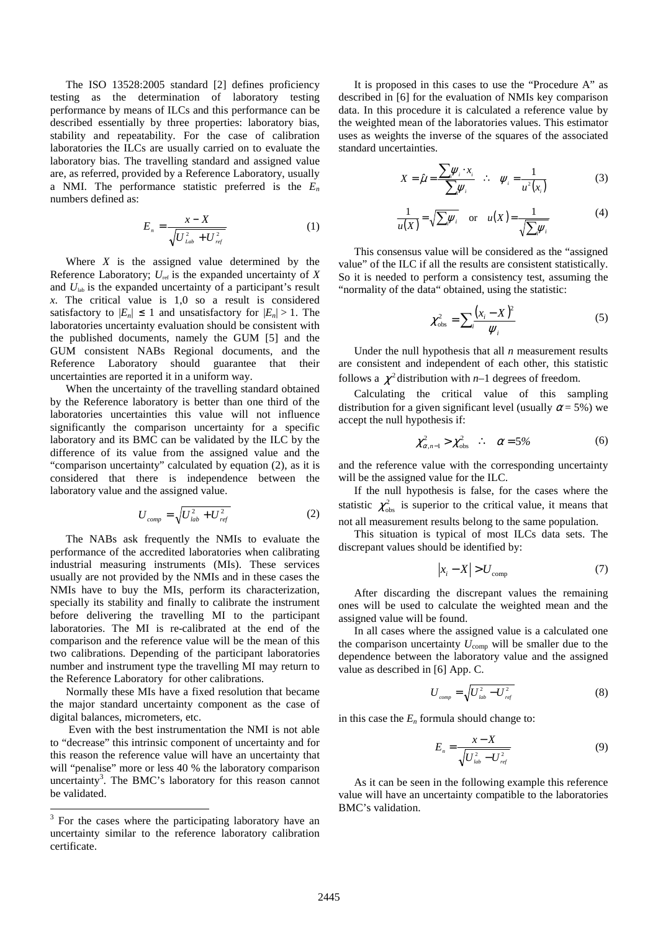The ISO 13528:2005 standard [2] defines proficiency testing as the determination of laboratory testing performance by means of ILCs and this performance can be described essentially by three properties: laboratory bias, stability and repeatability. For the case of calibration laboratories the ILCs are usually carried on to evaluate the laboratory bias. The travelling standard and assigned value are, as referred, provided by a Reference Laboratory, usually a NMI. The performance statistic preferred is the *E<sup>n</sup>* numbers defined as:

$$
E_n = \frac{x - X}{\sqrt{U_{lab}^2 + U_{ref}^2}}
$$
 (1)

Where *X* is the assigned value determined by the Reference Laboratory;  $U_{ref}$  is the expanded uncertainty of  $X$ and  $U_{lab}$  is the expanded uncertainty of a participant's result *x*. The critical value is 1,0 so a result is considered satisfactory to  $|E_n| \leq 1$  and unsatisfactory for  $|E_n| > 1$ . The laboratories uncertainty evaluation should be consistent with the published documents, namely the GUM [5] and the GUM consistent NABs Regional documents, and the Reference Laboratory should guarantee that their uncertainties are reported it in a uniform way.

When the uncertainty of the travelling standard obtained by the Reference laboratory is better than one third of the laboratories uncertainties this value will not influence significantly the comparison uncertainty for a specific laboratory and its BMC can be validated by the ILC by the difference of its value from the assigned value and the "comparison uncertainty" calculated by equation (2), as it is considered that there is independence between the laboratory value and the assigned value.

$$
U_{comp} = \sqrt{U_{lab}^2 + U_{ref}^2}
$$
 (2)

The NABs ask frequently the NMIs to evaluate the performance of the accredited laboratories when calibrating industrial measuring instruments (MIs). These services usually are not provided by the NMIs and in these cases the NMIs have to buy the MIs, perform its characterization, specially its stability and finally to calibrate the instrument before delivering the travelling MI to the participant laboratories. The MI is re-calibrated at the end of the comparison and the reference value will be the mean of this two calibrations. Depending of the participant laboratories number and instrument type the travelling MI may return to the Reference Laboratory for other calibrations.

Normally these MIs have a fixed resolution that became the major standard uncertainty component as the case of digital balances, micrometers, etc.

 Even with the best instrumentation the NMI is not able to "decrease" this intrinsic component of uncertainty and for this reason the reference value will have an uncertainty that will "penalise" more or less 40 % the laboratory comparison uncertainty<sup>3</sup>. The BMC's laboratory for this reason cannot be validated.

-

It is proposed in this cases to use the "Procedure A" as described in [6] for the evaluation of NMIs key comparison data. In this procedure it is calculated a reference value by the weighted mean of the laboratories values. This estimator uses as weights the inverse of the squares of the associated standard uncertainties.

$$
X = \hat{\mu} = \frac{\sum_{i} \psi_{i} \cdot x_{i}}{\sum_{i} \psi_{i}} \quad \therefore \quad \psi_{i} = \frac{1}{u^{2}(x_{i})}
$$
(3)

$$
\frac{1}{u(X)} = \sqrt{\sum_i \psi_i} \quad \text{or} \quad u(X) = \frac{1}{\sqrt{\sum_i \psi_i}} \tag{4}
$$

This consensus value will be considered as the "assigned value" of the ILC if all the results are consistent statistically. So it is needed to perform a consistency test, assuming the "normality of the data" obtained, using the statistic:

$$
\chi_{\rm obs}^2 = \sum_i \frac{(x_i - X)^2}{\psi_i} \tag{5}
$$

Under the null hypothesis that all *n* measurement results are consistent and independent of each other, this statistic follows a  $\chi^2$  distribution with *n*-1 degrees of freedom.

Calculating the critical value of this sampling distribution for a given significant level (usually  $\alpha$  = 5%) we accept the null hypothesis if:

$$
\chi^2_{\alpha,n-1} > \chi^2_{\rm obs} \quad \therefore \quad \alpha = 5\% \tag{6}
$$

and the reference value with the corresponding uncertainty will be the assigned value for the ILC.

If the null hypothesis is false, for the cases where the statistic  $\chi^2_{obs}$  is superior to the critical value, it means that not all measurement results belong to the same population.

This situation is typical of most ILCs data sets. The discrepant values should be identified by:

$$
\left| x_i - X \right| > U_{\text{comp}} \tag{7}
$$

After discarding the discrepant values the remaining ones will be used to calculate the weighted mean and the assigned value will be found.

In all cases where the assigned value is a calculated one the comparison uncertainty  $U_{\text{comp}}$  will be smaller due to the dependence between the laboratory value and the assigned value as described in [6] App. C.

$$
U_{\text{comp}} = \sqrt{U_{\text{lab}}^2 - U_{\text{ref}}^2}
$$
 (8)

in this case the  $E<sub>n</sub>$  formula should change to:

$$
E_n = \frac{x - X}{\sqrt{U_{lab}^2 - U_{ref}^2}}
$$
 (9)

As it can be seen in the following example this reference value will have an uncertainty compatible to the laboratories BMC's validation.

<sup>&</sup>lt;sup>3</sup> For the cases where the participating laboratory have an uncertainty similar to the reference laboratory calibration certificate.